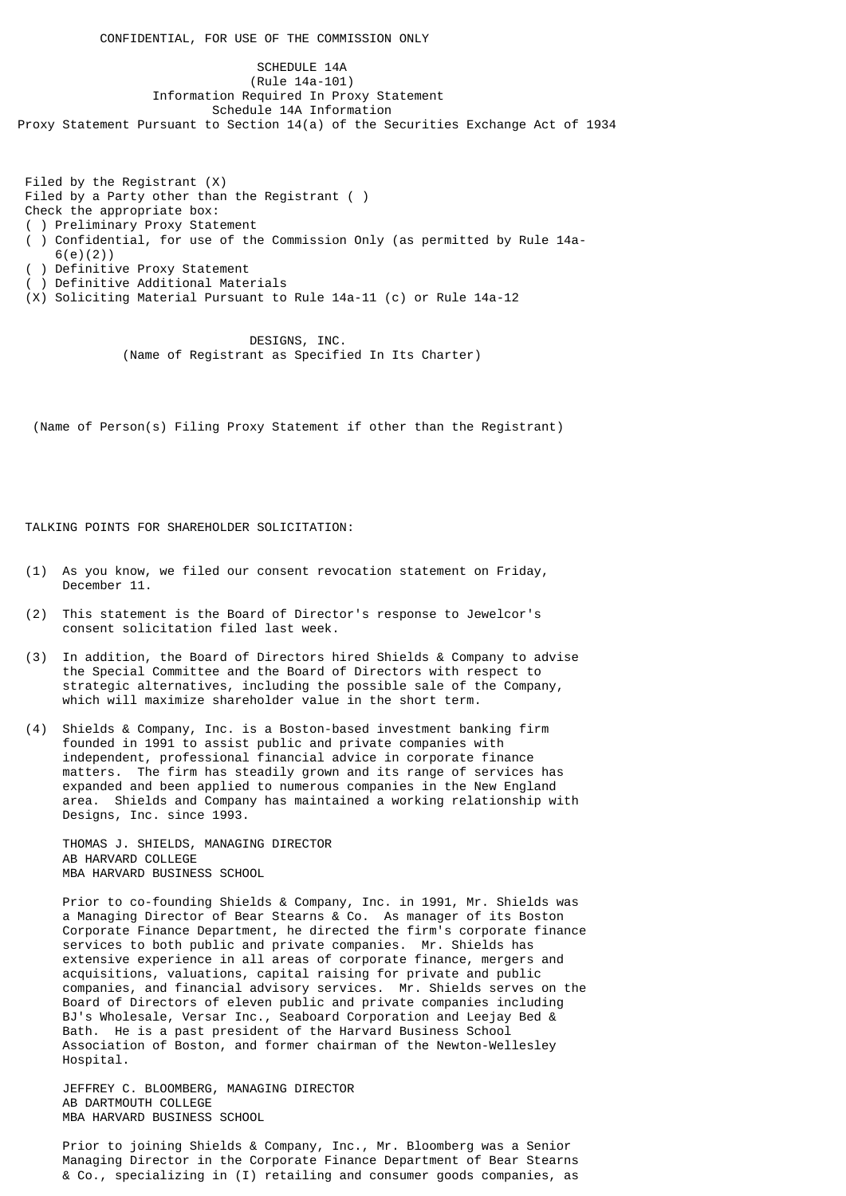CONFIDENTIAL, FOR USE OF THE COMMISSION ONLY

 SCHEDULE 14A (Rule 14a-101) Information Required In Proxy Statement Schedule 14A Information Proxy Statement Pursuant to Section 14(a) of the Securities Exchange Act of 1934

 Filed by the Registrant (X) Filed by a Party other than the Registrant ( ) Check the appropriate box: ( ) Preliminary Proxy Statement ( ) Confidential, for use of the Commission Only (as permitted by Rule 14a- 6(e)(2)) ) Definitive Proxy Statement ( ) Definitive Additional Materials (X) Soliciting Material Pursuant to Rule 14a-11 (c) or Rule 14a-12

> DESIGNS, INC. (Name of Registrant as Specified In Its Charter)

(Name of Person(s) Filing Proxy Statement if other than the Registrant)

TALKING POINTS FOR SHARFHOLDER SOLICITATION:

- (1) As you know, we filed our consent revocation statement on Friday, December 11.
- (2) This statement is the Board of Director's response to Jewelcor's consent solicitation filed last week.
- (3) In addition, the Board of Directors hired Shields & Company to advise the Special Committee and the Board of Directors with respect to strategic alternatives, including the possible sale of the Company, which will maximize shareholder value in the short term.
- (4) Shields & Company, Inc. is a Boston-based investment banking firm founded in 1991 to assist public and private companies with independent, professional financial advice in corporate finance matters. The firm has steadily grown and its range of services has expanded and been applied to numerous companies in the New England area. Shields and Company has maintained a working relationship with Designs, Inc. since 1993.

 THOMAS J. SHIELDS, MANAGING DIRECTOR AB HARVARD COLLEGE MBA HARVARD BUSINESS SCHOOL

 Prior to co-founding Shields & Company, Inc. in 1991, Mr. Shields was a Managing Director of Bear Stearns & Co. As manager of its Boston Corporate Finance Department, he directed the firm's corporate finance services to both public and private companies. Mr. Shields has extensive experience in all areas of corporate finance, mergers and acquisitions, valuations, capital raising for private and public companies, and financial advisory services. Mr. Shields serves on the Board of Directors of eleven public and private companies including BJ's Wholesale, Versar Inc., Seaboard Corporation and Leejay Bed & Bath. He is a past president of the Harvard Business School Association of Boston, and former chairman of the Newton-Wellesley Hospital.

 JEFFREY C. BLOOMBERG, MANAGING DIRECTOR AB DARTMOUTH COLLEGE MBA HARVARD BUSINESS SCHOOL

 Prior to joining Shields & Company, Inc., Mr. Bloomberg was a Senior Managing Director in the Corporate Finance Department of Bear Stearns & Co., specializing in (I) retailing and consumer goods companies, as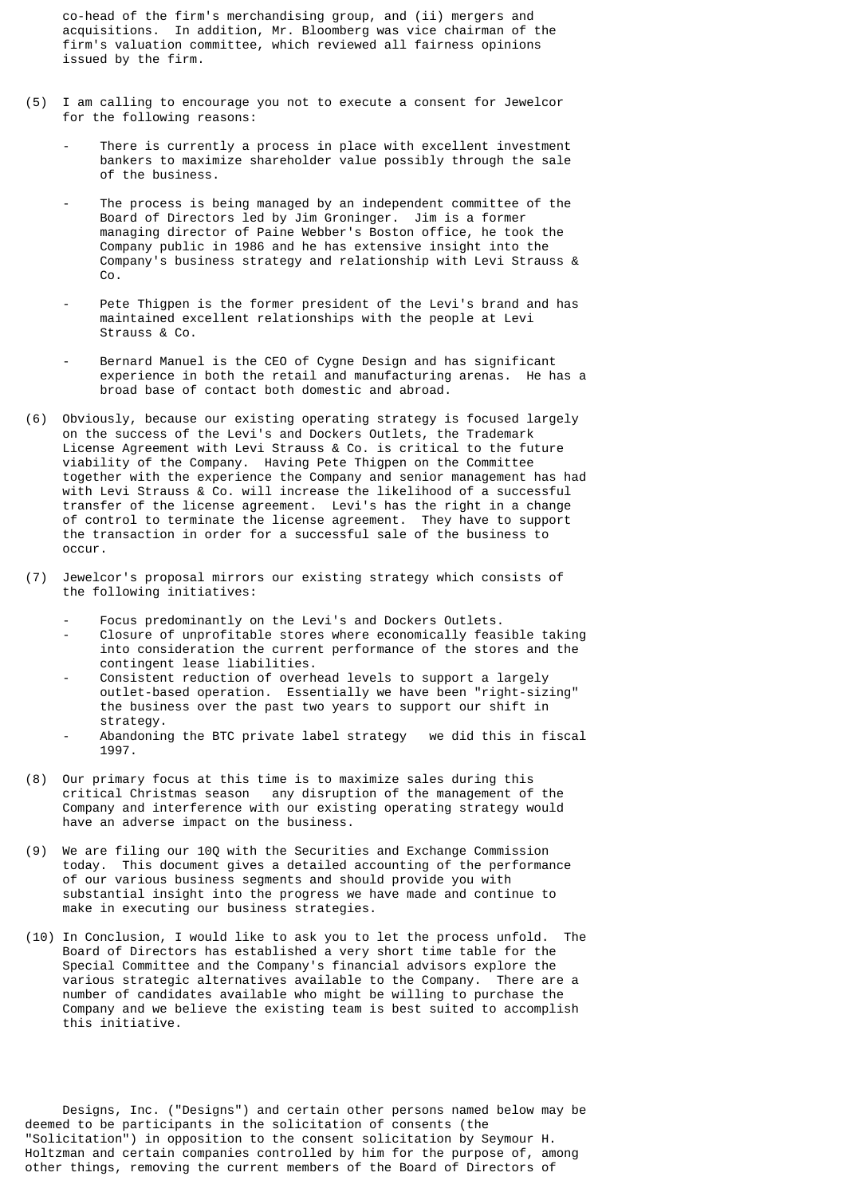co-head of the firm's merchandising group, and (ii) mergers and acquisitions. In addition, Mr. Bloomberg was vice chairman of the firm's valuation committee, which reviewed all fairness opinions issued by the firm.

- (5) I am calling to encourage you not to execute a consent for Jewelcor for the following reasons:
	- There is currently a process in place with excellent investment bankers to maximize shareholder value possibly through the sale of the business.
	- The process is being managed by an independent committee of the Board of Directors led by Jim Groninger. Jim is a former managing director of Paine Webber's Boston office, he took the Company public in 1986 and he has extensive insight into the Company's business strategy and relationship with Levi Strauss & Co.
	- Pete Thigpen is the former president of the Levi's brand and has maintained excellent relationships with the people at Levi Strauss & Co.
	- Bernard Manuel is the CEO of Cygne Design and has significant experience in both the retail and manufacturing arenas. He has a broad base of contact both domestic and abroad.
- (6) Obviously, because our existing operating strategy is focused largely on the success of the Levi's and Dockers Outlets, the Trademark License Agreement with Levi Strauss & Co. is critical to the future viability of the Company. Having Pete Thigpen on the Committee together with the experience the Company and senior management has had with Levi Strauss & Co. will increase the likelihood of a successful transfer of the license agreement. Levi's has the right in a change of control to terminate the license agreement. They have to support the transaction in order for a successful sale of the business to occur.
- (7) Jewelcor's proposal mirrors our existing strategy which consists of the following initiatives:
	- Focus predominantly on the Levi's and Dockers Outlets.
	- Closure of unprofitable stores where economically feasible taking into consideration the current performance of the stores and the contingent lease liabilities.
- Consistent reduction of overhead levels to support a largely outlet-based operation. Essentially we have been "right-sizing" the business over the past two years to support our shift in strategy.
	- Abandoning the BTC private label strategy we did this in fiscal 1997.
- (8) Our primary focus at this time is to maximize sales during this critical Christmas season any disruption of the management of the Company and interference with our existing operating strategy would have an adverse impact on the business.
- (9) We are filing our 10Q with the Securities and Exchange Commission today. This document gives a detailed accounting of the performance of our various business segments and should provide you with substantial insight into the progress we have made and continue to make in executing our business strategies.
- (10) In Conclusion, I would like to ask you to let the process unfold. The Board of Directors has established a very short time table for the Special Committee and the Company's financial advisors explore the various strategic alternatives available to the Company. There are a number of candidates available who might be willing to purchase the Company and we believe the existing team is best suited to accomplish this initiative.

 Designs, Inc. ("Designs") and certain other persons named below may be deemed to be participants in the solicitation of consents (the "Solicitation") in opposition to the consent solicitation by Seymour H. Holtzman and certain companies controlled by him for the purpose of, among other things, removing the current members of the Board of Directors of